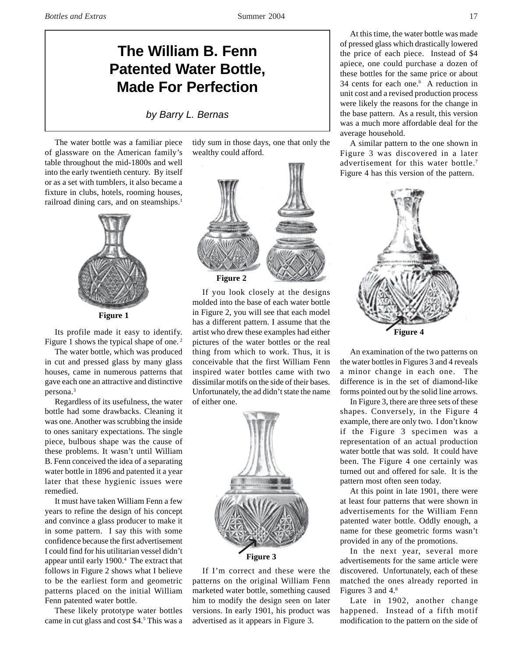## **The William B. Fenn Patented Water Bottle, Made For Perfection**

*by Barry L. Bernas*

The water bottle was a familiar piece of glassware on the American family's table throughout the mid-1800s and well into the early twentieth century. By itself or as a set with tumblers, it also became a fixture in clubs, hotels, rooming houses, railroad dining cars, and on steamships.<sup>1</sup>



**Figure 1**

Its profile made it easy to identify. Figure 1 shows the typical shape of one. 2

The water bottle, which was produced in cut and pressed glass by many glass houses, came in numerous patterns that gave each one an attractive and distinctive persona.3

Regardless of its usefulness, the water bottle had some drawbacks. Cleaning it was one. Another was scrubbing the inside to ones sanitary expectations. The single piece, bulbous shape was the cause of these problems. It wasn't until William B. Fenn conceived the idea of a separating water bottle in 1896 and patented it a year later that these hygienic issues were remedied.

It must have taken William Fenn a few years to refine the design of his concept and convince a glass producer to make it in some pattern. I say this with some confidence because the first advertisement I could find for his utilitarian vessel didn't appear until early 1900.4 The extract that follows in Figure 2 shows what I believe to be the earliest form and geometric patterns placed on the initial William Fenn patented water bottle.

These likely prototype water bottles came in cut glass and cost \$4.5 This was a

tidy sum in those days, one that only the wealthy could afford.



If you look closely at the designs molded into the base of each water bottle in Figure 2, you will see that each model has a different pattern. I assume that the artist who drew these examples had either pictures of the water bottles or the real thing from which to work. Thus, it is conceivable that the first William Fenn inspired water bottles came with two dissimilar motifs on the side of their bases. Unfortunately, the ad didn't state the name of either one.



If I'm correct and these were the patterns on the original William Fenn marketed water bottle, something caused him to modify the design seen on later versions. In early 1901, his product was advertised as it appears in Figure 3.

At this time, the water bottle was made of pressed glass which drastically lowered the price of each piece. Instead of \$4 apiece, one could purchase a dozen of these bottles for the same price or about 34 cents for each one.6 A reduction in unit cost and a revised production process were likely the reasons for the change in the base pattern. As a result, this version was a much more affordable deal for the average household.

A similar pattern to the one shown in Figure 3 was discovered in a later advertisement for this water bottle.<sup>7</sup> Figure 4 has this version of the pattern.



An examination of the two patterns on the water bottles in Figures 3 and 4 reveals a minor change in each one. The difference is in the set of diamond-like forms pointed out by the solid line arrows.

In Figure 3, there are three sets of these shapes. Conversely, in the Figure 4 example, there are only two. I don't know if the Figure 3 specimen was a representation of an actual production water bottle that was sold. It could have been. The Figure 4 one certainly was turned out and offered for sale. It is the pattern most often seen today.

At this point in late 1901, there were at least four patterns that were shown in advertisements for the William Fenn patented water bottle. Oddly enough, a name for these geometric forms wasn't provided in any of the promotions.

In the next year, several more advertisements for the same article were discovered. Unfortunately, each of these matched the ones already reported in Figures 3 and 4.8

Late in 1902, another change happened. Instead of a fifth motif modification to the pattern on the side of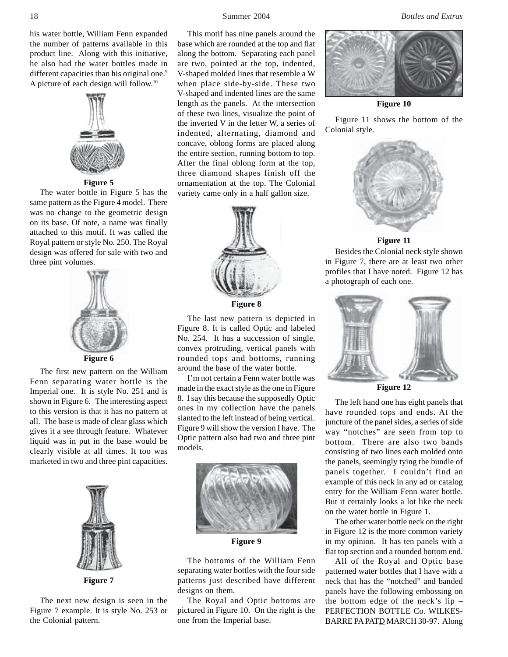his water bottle, William Fenn expanded the number of patterns available in this product line. Along with this initiative, he also had the water bottles made in different capacities than his original one.<sup>9</sup> A picture of each design will follow.10



## **Figure 5**

The water bottle in Figure 5 has the same pattern as the Figure 4 model. There was no change to the geometric design on its base. Of note, a name was finally attached to this motif. It was called the Royal pattern or style No. 250. The Royal design was offered for sale with two and three pint volumes.



The first new pattern on the William Fenn separating water bottle is the Imperial one. It is style No. 251 and is shown in Figure 6. The interesting aspect to this version is that it has no pattern at all. The base is made of clear glass which gives it a see through feature. Whatever liquid was in put in the base would be clearly visible at all times. It too was marketed in two and three pint capacities.



**Figure 7**

The next new design is seen in the Figure 7 example. It is style No. 253 or the Colonial pattern.

This motif has nine panels around the base which are rounded at the top and flat along the bottom. Separating each panel are two, pointed at the top, indented, V-shaped molded lines that resemble a W when place side-by-side. These two V-shaped and indented lines are the same length as the panels. At the intersection of these two lines, visualize the point of the inverted V in the letter W, a series of indented, alternating, diamond and concave, oblong forms are placed along the entire section, running bottom to top. After the final oblong form at the top, three diamond shapes finish off the ornamentation at the top. The Colonial variety came only in a half gallon size.



The last new pattern is depicted in Figure 8. It is called Optic and labeled No. 254. It has a succession of single, convex protruding, vertical panels with rounded tops and bottoms, running around the base of the water bottle.

I'm not certain a Fenn water bottle was made in the exact style as the one in Figure 8. I say this because the supposedly Optic ones in my collection have the panels slanted to the left instead of being vertical. Figure 9 will show the version I have. The Optic pattern also had two and three pint models.



**Figure 9**

The bottoms of the William Fenn separating water bottles with the four side patterns just described have different designs on them.

The Royal and Optic bottoms are pictured in Figure 10. On the right is the one from the Imperial base.

18 Summer 2004 *Bottles and Extras*



**Figure 10**

Figure 11 shows the bottom of the Colonial style.



**Figure 11**

Besides the Colonial neck style shown in Figure 7, there are at least two other profiles that I have noted. Figure 12 has a photograph of each one.



**Figure 12**

The left hand one has eight panels that have rounded tops and ends. At the juncture of the panel sides, a series of side way "notches" are seen from top to bottom. There are also two bands consisting of two lines each molded onto the panels, seemingly tying the bundle of panels together. I couldn't find an example of this neck in any ad or catalog entry for the William Fenn water bottle. But it certainly looks a lot like the neck on the water bottle in Figure 1.

The other water bottle neck on the right in Figure 12 is the more common variety in my opinion. It has ten panels with a flat top section and a rounded bottom end.

All of the Royal and Optic base patterned water bottles that I have with a neck that has the "notched" and banded panels have the following embossing on the bottom edge of the neck's lip – PERFECTION BOTTLE Co. WILKES-BARRE PA PATD MARCH 30-97. Along